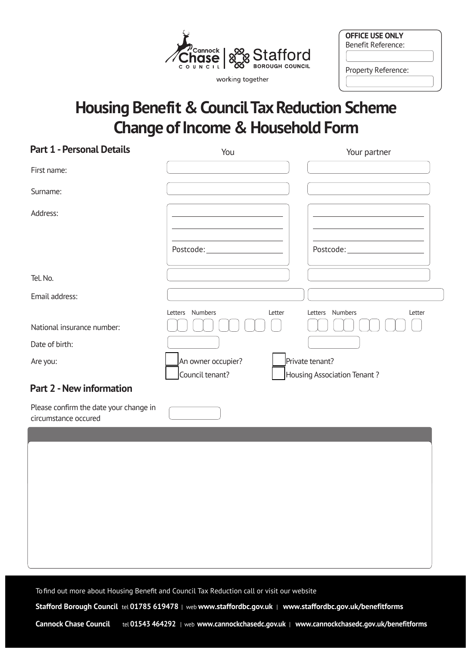

working together

| <b>OFFICE USE ONLY</b> |  |
|------------------------|--|
| Benefit Reference:     |  |
|                        |  |
| Property Reference:    |  |

# **Housing Benefit & Council Tax Reduction Scheme Change of Income & Household Form**

| <b>Part 1 - Personal Details</b>                               | You                       | Your partner                    |
|----------------------------------------------------------------|---------------------------|---------------------------------|
| First name:                                                    |                           |                                 |
| Surname:                                                       |                           |                                 |
| Address:                                                       |                           |                                 |
|                                                                |                           |                                 |
|                                                                |                           | Postcode:______________________ |
| Tel. No.                                                       |                           |                                 |
| Email address:                                                 |                           |                                 |
|                                                                | Letters Numbers<br>Letter | Letters Numbers<br>Letter       |
| National insurance number:                                     |                           |                                 |
| Date of birth:                                                 |                           |                                 |
| Are you:                                                       | An owner occupier?        | Private tenant?                 |
|                                                                | Council tenant?           | Housing Association Tenant?     |
| <b>Part 2 - New information</b>                                |                           |                                 |
| Please confirm the date your change in<br>circumstance occured |                           |                                 |
|                                                                |                           |                                 |
|                                                                |                           |                                 |
|                                                                |                           |                                 |
|                                                                |                           |                                 |
|                                                                |                           |                                 |
|                                                                |                           |                                 |
|                                                                |                           |                                 |
|                                                                |                           |                                 |

Tofind out more about Housing Benefit and Council Tax Reduction call or visit our website

 **Stafford Borough Council** tel **01785 619478** | web **<www.staffordbc.gov.uk>** | **<www.staffordbc.gov.uk/benefitforms>**

**Cannock Chase Council** tel **01543 464292** | web **<www.cannockchasedc.gov.uk>** | **<www.cannockchasedc.gov.uk/benefitforms>**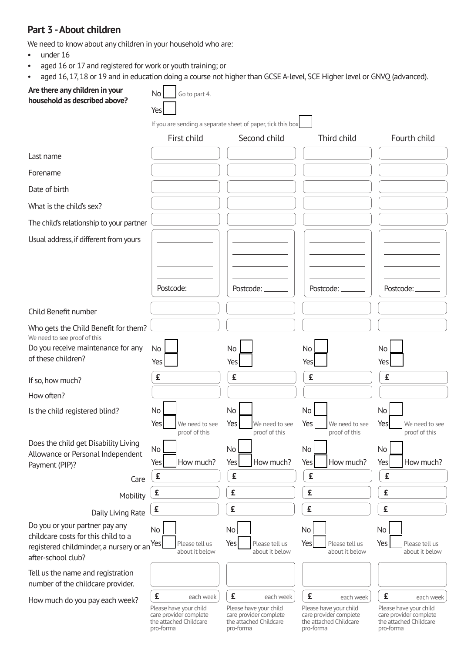### **Part 3 -About children**

We need to know about any children in your household who are:

- under 16
- aged 16 or 17 and registered for work or youth training; or
- aged 16, 17, 18 or 19 and in education doing a course not higher than GCSE A-level, SCE Higher level or GNVQ (advanced).

| Are there any children in your<br>household as described above?                                      | <b>No</b><br>Go to part 4.<br>Yes                                                                         |                                                                                                           |                                                                                                           |                                                                                                           |
|------------------------------------------------------------------------------------------------------|-----------------------------------------------------------------------------------------------------------|-----------------------------------------------------------------------------------------------------------|-----------------------------------------------------------------------------------------------------------|-----------------------------------------------------------------------------------------------------------|
|                                                                                                      |                                                                                                           | If you are sending a separate sheet of paper, tick this box                                               |                                                                                                           |                                                                                                           |
|                                                                                                      | First child                                                                                               | Second child                                                                                              | Third child                                                                                               | Fourth child                                                                                              |
| Last name                                                                                            |                                                                                                           |                                                                                                           |                                                                                                           |                                                                                                           |
| Forename                                                                                             |                                                                                                           |                                                                                                           |                                                                                                           |                                                                                                           |
| Date of birth                                                                                        |                                                                                                           |                                                                                                           |                                                                                                           |                                                                                                           |
| What is the child's sex?                                                                             |                                                                                                           |                                                                                                           |                                                                                                           |                                                                                                           |
| The child's relationship to your partner                                                             |                                                                                                           |                                                                                                           |                                                                                                           |                                                                                                           |
| Usual address, if different from yours                                                               |                                                                                                           |                                                                                                           |                                                                                                           |                                                                                                           |
|                                                                                                      | Postcode:                                                                                                 | Postcode:                                                                                                 | Postcode:                                                                                                 | Postcode:                                                                                                 |
| Child Benefit number                                                                                 |                                                                                                           |                                                                                                           |                                                                                                           |                                                                                                           |
| Who gets the Child Benefit for them?<br>We need to see proof of this                                 |                                                                                                           |                                                                                                           |                                                                                                           |                                                                                                           |
| Do you receive maintenance for any<br>of these children?                                             | No<br>Yes                                                                                                 | No<br>Yes                                                                                                 | No<br>Yes                                                                                                 | No<br>Yes                                                                                                 |
| If so, how much?                                                                                     | £                                                                                                         | £                                                                                                         | £                                                                                                         | £                                                                                                         |
| How often?                                                                                           |                                                                                                           |                                                                                                           |                                                                                                           |                                                                                                           |
| Is the child registered blind?                                                                       | No<br>Yes<br>We need to see                                                                               | No<br>Yes<br>We need to see                                                                               | No <sub>1</sub><br>Yes<br>We need to see                                                                  | No<br>Yes<br>We need to see                                                                               |
|                                                                                                      | proof of this                                                                                             | proof of this                                                                                             | proof of this                                                                                             | proof of this                                                                                             |
| Does the child get Disability Living<br>Allowance or Personal Independent                            | No                                                                                                        | No<br>How much?                                                                                           | No                                                                                                        | No                                                                                                        |
| Payment (PIP)?                                                                                       | How much?<br>Yes<br>£                                                                                     | Yes<br>£                                                                                                  | Yes<br>How much?<br>£                                                                                     | How much?<br>Yes<br>£                                                                                     |
| Care                                                                                                 | £                                                                                                         | £                                                                                                         | £                                                                                                         | £                                                                                                         |
| Mobility                                                                                             | £                                                                                                         | £                                                                                                         | £                                                                                                         | £                                                                                                         |
| Daily Living Rate<br>Do you or your partner pay any                                                  |                                                                                                           |                                                                                                           |                                                                                                           |                                                                                                           |
| childcare costs for this child to a<br>registered childminder, a nursery or an<br>after-school club? | No<br>Yes<br>Please tell us<br>about it below                                                             | No<br>Yes<br>Please tell us<br>about it below                                                             | No<br>Yes<br>Please tell us<br>about it below                                                             | No<br>Yes<br>Please tell us<br>about it below                                                             |
| Tell us the name and registration<br>number of the childcare provider.                               |                                                                                                           |                                                                                                           |                                                                                                           |                                                                                                           |
| How much do you pay each week?                                                                       | £<br>each week<br>Please have your child<br>care provider complete<br>the attached Childcare<br>pro-forma | £<br>each week<br>Please have your child<br>care provider complete<br>the attached Childcare<br>pro-forma | £<br>each week<br>Please have your child<br>care provider complete<br>the attached Childcare<br>pro-forma | £<br>each week<br>Please have your child<br>care provider complete<br>the attached Childcare<br>pro-forma |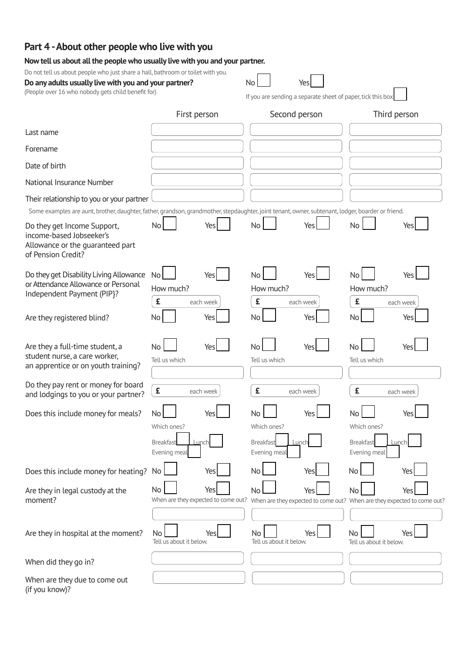# **Part 4 -About other people who live with you**

#### **Now tell us about all the people who usually live with you and your partner.**

Do not tell us about people who just share a hall, bathroom or toilet with you.

| Do Hot tell us about people who just share a nati, bathroom or tonet with you.<br>Do any adults usually live with you and your partner?<br>(People over 16 who nobody gets child benefit for)   |                                                                       | <b>No</b><br>Yes<br>If you are sending a separate sheet of paper, tick this box |                                                                                                                          |
|-------------------------------------------------------------------------------------------------------------------------------------------------------------------------------------------------|-----------------------------------------------------------------------|---------------------------------------------------------------------------------|--------------------------------------------------------------------------------------------------------------------------|
|                                                                                                                                                                                                 | First person                                                          | Second person                                                                   | Third person                                                                                                             |
| Last name                                                                                                                                                                                       |                                                                       |                                                                                 |                                                                                                                          |
| Forename                                                                                                                                                                                        |                                                                       |                                                                                 |                                                                                                                          |
| Date of birth                                                                                                                                                                                   |                                                                       |                                                                                 |                                                                                                                          |
| National Insurance Number                                                                                                                                                                       |                                                                       |                                                                                 |                                                                                                                          |
| Their relationship to you or your partner<br>Some examples are aunt, brother, daughter, father, grandson, grandmother, stepdaughter, joint tenant, owner, subtenant, lodger, boarder or friend. |                                                                       |                                                                                 |                                                                                                                          |
| Do they get Income Support,<br>income-based Jobseeker's<br>Allowance or the quaranteed part<br>of Pension Credit?                                                                               | No<br>Yes                                                             | No<br>Yes                                                                       | <b>No</b><br>Yes                                                                                                         |
| Do they get Disability Living Allowance<br>or Attendance Allowance or Personal<br>Independent Payment (PIP}?                                                                                    | <b>No</b><br>Yes<br>How much?<br>£<br>each week                       | <b>No</b><br>Yes<br>How much?<br>£<br>each week                                 | No<br>Yes<br>How much?<br>£<br>each week                                                                                 |
| Are they registered blind?                                                                                                                                                                      | No<br>Yes                                                             | No<br>Yes                                                                       | No<br>Yes                                                                                                                |
| Are they a full-time student, a<br>student nurse, a care worker,<br>an apprentice or on youth training?                                                                                         | <b>No</b><br>Yes<br>Tell us which                                     | <b>No</b><br>Yes<br>Tell us which                                               | <b>No</b><br>Yes<br>Tell us which                                                                                        |
| Do they pay rent or money for board<br>and lodgings to you or your partner?                                                                                                                     | £<br>each week                                                        | £<br>each week                                                                  | £<br>each week                                                                                                           |
| Does this include money for meals?                                                                                                                                                              | No<br>Yes<br>Which ones?<br>Lunch<br><b>Breakfast</b><br>Evening meal | No<br>Yes<br>Which ones?<br><b>Breakfast</b><br>Lunch<br>Evening meal           | No<br>Yes<br>Which ones?<br><b>Breakfast</b><br>Lunch<br>Evening meal                                                    |
| Does this include money for heating?                                                                                                                                                            | No.<br>Yes                                                            | No<br>Yes                                                                       | No<br>Yes                                                                                                                |
| Are they in legal custody at the<br>moment?                                                                                                                                                     | No<br>Yes                                                             | No<br>Yes                                                                       | No<br>Yes<br>When are they expected to come out? When are they expected to come out? When are they expected to come out? |
| Are they in hospital at the moment?                                                                                                                                                             | No<br>Yes<br>Tell us about it below.                                  | Yes<br>No<br>Tell us about it below.                                            | No<br>Yes<br>Tell us about it below.                                                                                     |
| When did they go in?                                                                                                                                                                            |                                                                       |                                                                                 |                                                                                                                          |
| When are they due to come out<br>(if you know)?                                                                                                                                                 |                                                                       |                                                                                 |                                                                                                                          |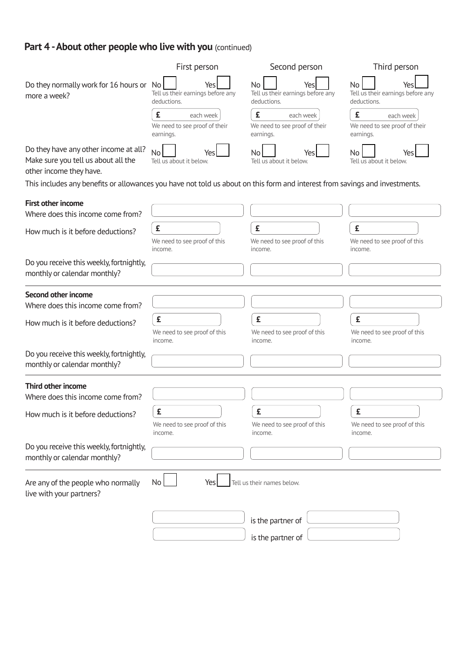# Part 4 - About other people who live with you (continued)

|                                                                                                                             | First person                                                    | Second person                                                 | Third person                                                  |
|-----------------------------------------------------------------------------------------------------------------------------|-----------------------------------------------------------------|---------------------------------------------------------------|---------------------------------------------------------------|
| Do they normally work for 16 hours or<br>more a week?                                                                       | No l<br>Yes<br>Tell us their earnings before any<br>deductions. | No<br>Yes<br>Tell us their earnings before any<br>deductions. | No<br>Yes<br>Tell us their earnings before any<br>deductions. |
|                                                                                                                             | £<br>each week<br>We need to see proof of their<br>earnings.    | £<br>each week<br>We need to see proof of their<br>earnings.  | £<br>each week<br>We need to see proof of their<br>earnings.  |
| Do they have any other income at all?<br>Make sure you tell us about all the<br>other income they have.                     | <b>No</b><br>Yes<br>Tell us about it below.                     | No.<br>Tell us about it below.                                | No.<br>Yes<br>Tell us about it below.                         |
| This includes any benefits or allowances you have not told us about on this form and interest from savings and investments. |                                                                 |                                                               |                                                               |
| <b>First other income</b>                                                                                                   |                                                                 |                                                               |                                                               |
| Where does this income come from?                                                                                           |                                                                 |                                                               |                                                               |
| How much is it before deductions?                                                                                           | £                                                               | £                                                             | £                                                             |
|                                                                                                                             | We need to see proof of this<br>income.                         | We need to see proof of this<br>income.                       | We need to see proof of this<br>income.                       |
| Do you receive this weekly, fortnightly,<br>monthly or calendar monthly?                                                    |                                                                 |                                                               |                                                               |
| Second other income                                                                                                         |                                                                 |                                                               |                                                               |
| Where does this income come from?                                                                                           |                                                                 |                                                               |                                                               |
| How much is it before deductions?                                                                                           | £                                                               | £                                                             | £                                                             |
|                                                                                                                             | We need to see proof of this<br>income.                         | We need to see proof of this<br>income.                       | We need to see proof of this<br>income.                       |
| Do you receive this weekly, fortnightly,<br>monthly or calendar monthly?                                                    |                                                                 |                                                               |                                                               |
| Third other income                                                                                                          |                                                                 |                                                               |                                                               |
| Where does this income come from?                                                                                           |                                                                 |                                                               |                                                               |
| How much is it before deductions?                                                                                           | £                                                               | £                                                             | £                                                             |
|                                                                                                                             | We need to see proof of this<br>income.                         | We need to see proof of this<br>income.                       | We need to see proof of this<br>income.                       |
| Do you receive this weekly, fortnightly,<br>monthly or calendar monthly?                                                    |                                                                 |                                                               |                                                               |
| Are any of the people who normally<br>live with your partners?                                                              | No<br>Yes                                                       | Tell us their names below.                                    |                                                               |
|                                                                                                                             |                                                                 | is the partner of                                             |                                                               |
|                                                                                                                             |                                                                 | is the partner of                                             |                                                               |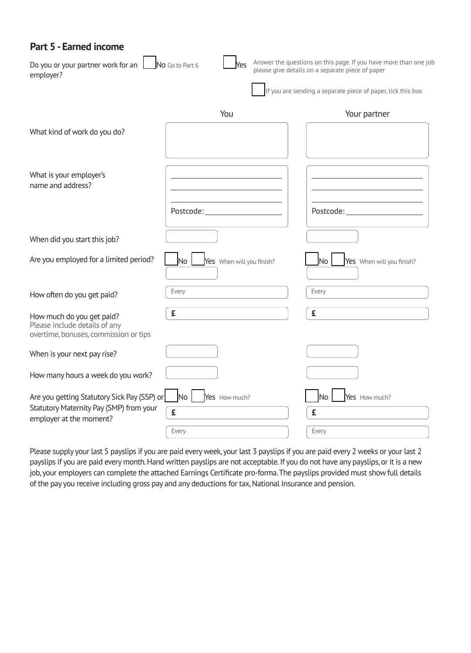### **Part 5 - Earned income**

| Do you or your partner work for an<br>employer?                                                                   | No Go to Part 6<br>Yes                        | Answer the questions on this page. If you have more than one job<br>please give details on a separate piece of paper<br>If you are sending a separate piece of paper, tick this box |
|-------------------------------------------------------------------------------------------------------------------|-----------------------------------------------|-------------------------------------------------------------------------------------------------------------------------------------------------------------------------------------|
|                                                                                                                   | You                                           | Your partner                                                                                                                                                                        |
| What kind of work do you do?                                                                                      |                                               |                                                                                                                                                                                     |
| What is your employer's<br>name and address?                                                                      |                                               |                                                                                                                                                                                     |
|                                                                                                                   | Postcode:                                     | Postcode: New York Postcode:                                                                                                                                                        |
| When did you start this job?                                                                                      |                                               |                                                                                                                                                                                     |
| Are you employed for a limited period?                                                                            | No.<br>Yes When will you finish?              | No.<br>Yes When will you finish?                                                                                                                                                    |
| How often do you get paid?                                                                                        | Every                                         | Every                                                                                                                                                                               |
| How much do you get paid?<br>Please include details of any<br>overtime, bonuses, commission or tips               | £                                             | £                                                                                                                                                                                   |
| When is your next pay rise?                                                                                       |                                               |                                                                                                                                                                                     |
| How many hours a week do you work?                                                                                |                                               |                                                                                                                                                                                     |
| Are you getting Statutory Sick Pay (SSP) or<br>Statutory Maternity Pay (SMP) from your<br>employer at the moment? | N <sub>o</sub><br>Yes How much?<br>£<br>Every | Yes How much?<br> No<br>£<br>Every                                                                                                                                                  |

Please supply your last 5 payslips if you are paid every week,your last 3 payslips if you are paid every 2 weeks or your last 2 payslips if you are paid every month. Hand written payslips are not acceptable. If you do not have any payslips, or it is a new job, your employers can complete the attached Earnings Certificate pro-forma. The payslips provided must show full details of the pay you receive including gross pay and any deductions for tax, National Insurance and pension.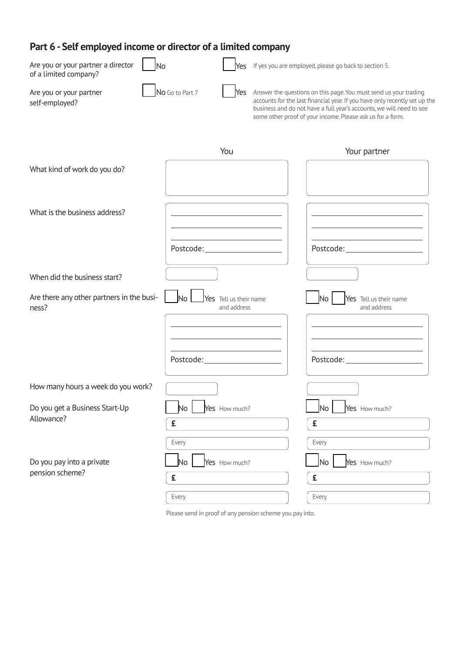# **Part 6 - Self employed income or director of a limited company**

| Part of Seti employed income or director or a united company      |                                                         |                                                                                                                                                                                                                                                                                      |
|-------------------------------------------------------------------|---------------------------------------------------------|--------------------------------------------------------------------------------------------------------------------------------------------------------------------------------------------------------------------------------------------------------------------------------------|
| Are you or your partner a director<br>No<br>of a limited company? |                                                         | Yes If yes you are employed, please go back to section 5.                                                                                                                                                                                                                            |
| Are you or your partner<br>self-employed?                         | No Go to Part 7<br>Yes                                  | Answer the questions on this page. You must send us your trading<br>accounts for the last financial year. If you have only recently set up the<br>business and do not have a full year's accounts, we will need to see<br>some other proof of your income. Please ask us for a form. |
|                                                                   | You                                                     | Your partner                                                                                                                                                                                                                                                                         |
| What kind of work do you do?                                      |                                                         |                                                                                                                                                                                                                                                                                      |
| What is the business address?                                     |                                                         |                                                                                                                                                                                                                                                                                      |
|                                                                   | Postcode: New York Postcode:                            |                                                                                                                                                                                                                                                                                      |
| When did the business start?                                      |                                                         |                                                                                                                                                                                                                                                                                      |
| Are there any other partners in the busi-<br>ness?                | N <sub>o</sub><br>Yes Tell us their name<br>and address | <b>No</b><br>Yes Tell us their name<br>and address                                                                                                                                                                                                                                   |
|                                                                   |                                                         |                                                                                                                                                                                                                                                                                      |
|                                                                   |                                                         |                                                                                                                                                                                                                                                                                      |
| How many hours a week do you work?                                |                                                         |                                                                                                                                                                                                                                                                                      |
| Do you get a Business Start-Up<br>Allowance?                      | Yes How much?<br>No                                     | Yes How much?<br>No<br>£                                                                                                                                                                                                                                                             |
|                                                                   | £<br>Every                                              | Every                                                                                                                                                                                                                                                                                |
| Do you pay into a private                                         | No<br>Yes How much?                                     | No<br>Yes How much?                                                                                                                                                                                                                                                                  |
| pension scheme?                                                   | £                                                       | £                                                                                                                                                                                                                                                                                    |
|                                                                   | Every                                                   | Every                                                                                                                                                                                                                                                                                |

Please send in proof of any pension scheme you pay into.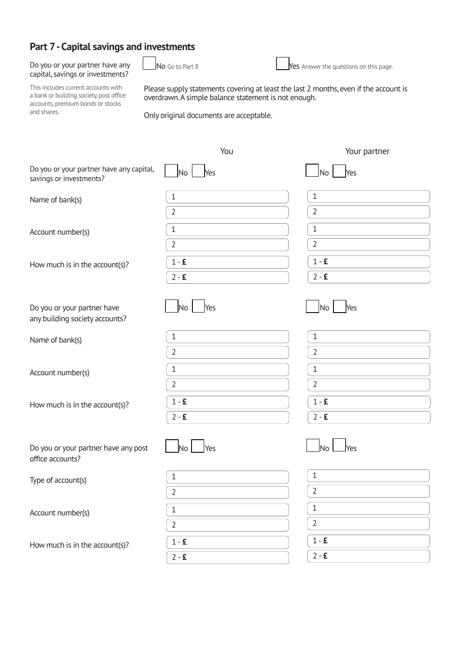# **Part 7 -Capital savings and investments**

# capital, savings or investments?

Do you or your partner have any  $\Box$  No Go to Part 8 Yes Answer the questions on this page.

This includes current accounts with<br>a bank or building society, post office<br>accounts, premium bonds or stocks<br>and shares.

Only original documents are acceptable.

|                                                                     | You                                              | Your partner                      |
|---------------------------------------------------------------------|--------------------------------------------------|-----------------------------------|
| Do you or your partner have any capital,<br>savings or investments? | N <sub>o</sub><br>Yes                            | Yes<br><b>No</b>                  |
| Name of bank(s)                                                     | $\mathbf{1}$<br>$\overline{2}$                   | $\mathbf{1}$<br>$\overline{2}$    |
| Account number(s)                                                   | $\mathbf{1}$<br>$\overline{2}$                   | $\mathbf{1}$<br>$\overline{2}$    |
| How much is in the account(s)?                                      | $1 - E$<br>$2 - 5$                               | $1 - E$<br>$2 - E$                |
| Do you or your partner have<br>any building society accounts?       | N <sub>o</sub><br>Yes                            | No<br>Yes                         |
| Name of bank(s)                                                     | $\mathbf{1}$<br>$\overline{2}$                   | $\mathbf{1}$<br>$\overline{2}$    |
| Account number(s)                                                   | $1\,$<br>$\overline{2}$                          | $\mathbf{1}$<br>$\overline{2}$    |
| How much is in the account(s)?                                      | $1 - E$<br>$2 - 5$                               | $1 - E$<br>$2 - 5$                |
| Do you or your partner have any post<br>office accounts?            | Yes<br>No                                        | lNo<br>Yes                        |
| Type of account(s)                                                  | 1                                                | $\mathbf 1$<br>$\overline{2}$     |
| Account number(s)                                                   | $\overline{2}$<br>$\mathbf{1}$<br>$\overline{2}$ | 1<br>$\overline{2}$               |
| How much is in the account(s)?                                      | $1 - \pmb{\mathsf{E}}$<br>$2 - E$                | $1 - \pmb{\mathsf{E}}$<br>$2 - E$ |
|                                                                     |                                                  |                                   |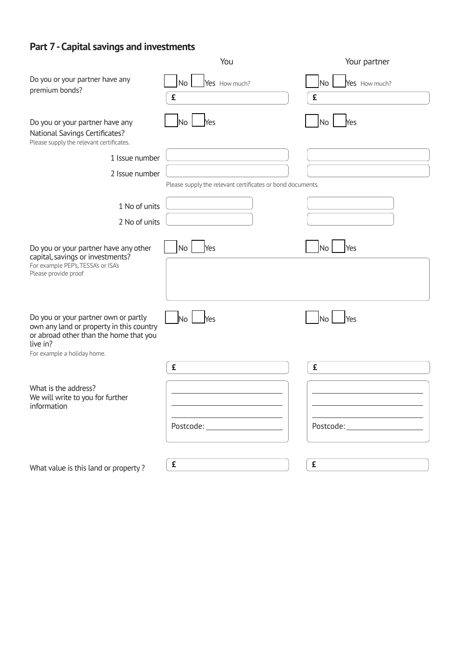#### **Part 7 -Capital savings and investments**

|                                                                                                                                                                       | You                                                        | Your partner                    |
|-----------------------------------------------------------------------------------------------------------------------------------------------------------------------|------------------------------------------------------------|---------------------------------|
| Do you or your partner have any<br>premium bonds?                                                                                                                     | <b>No</b><br>Yes How much?<br>£                            | <b>No</b><br>Yes How much?<br>£ |
| Do you or your partner have any<br>National Savings Certificates?<br>Please supply the relevant certificates.                                                         | No<br>Yes                                                  | Yes<br><b>No</b>                |
| 1 Issue number                                                                                                                                                        |                                                            |                                 |
| 2 Issue number                                                                                                                                                        |                                                            |                                 |
|                                                                                                                                                                       | Please supply the relevant certificates or bond documents. |                                 |
| 1 No of units                                                                                                                                                         |                                                            |                                 |
| 2 No of units                                                                                                                                                         |                                                            |                                 |
| Do you or your partner have any other<br>capital, savings or investments?<br>For example PEP's, TESSA's or ISA's<br>Please provide proof                              | No<br>Yes                                                  | <b>No</b><br>Yes                |
| Do you or your partner own or partly<br>own any land or property in this country<br>or abroad other than the home that you<br>live in?<br>For example a holiday home. | No<br>Yes                                                  | No<br>Yes                       |
|                                                                                                                                                                       | £                                                          | £                               |
| What is the address?<br>We will write to you for further<br>information                                                                                               | Postcode:________________________                          |                                 |
| What value is this land or property?                                                                                                                                  | £                                                          | £                               |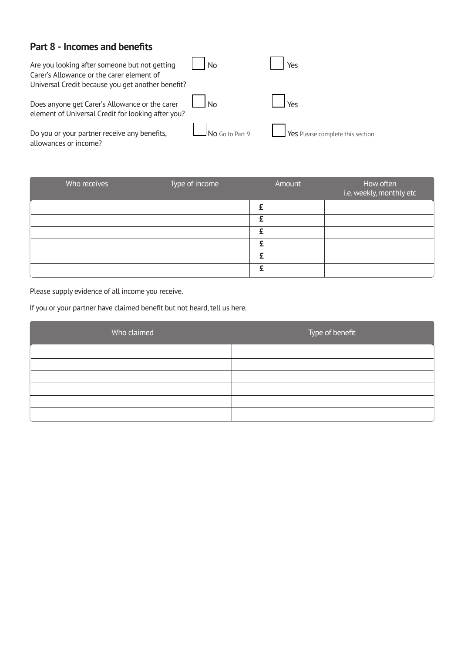# **Part 8 - Incomes and benefits**

| Are you looking after someone but not getting<br>Carer's Allowance or the carer element of<br>Universal Credit because you get another benefit? | N <sub>0</sub>         | Yes                              |
|-------------------------------------------------------------------------------------------------------------------------------------------------|------------------------|----------------------------------|
| Does anyone get Carer's Allowance or the carer<br>element of Universal Credit for looking after you?                                            | l No                   |                                  |
| Do you or your partner receive any benefits,<br>allowances or income?                                                                           | $\Box$ No Go to Part 9 | Yes Please complete this section |

| Who receives | Type of income | Amount | How often<br>i.e. weekly, monthly etc |
|--------------|----------------|--------|---------------------------------------|
|              |                |        |                                       |
|              |                | c      |                                       |
|              |                | c      |                                       |
|              |                |        |                                       |
|              |                |        |                                       |
|              |                |        |                                       |

Please supply evidence of all income you receive.

If you or your partner have claimed benefit but not heard, tell us here.

| Who claimed | Type of benefit |
|-------------|-----------------|
|             |                 |
|             |                 |
|             |                 |
|             |                 |
|             |                 |
|             |                 |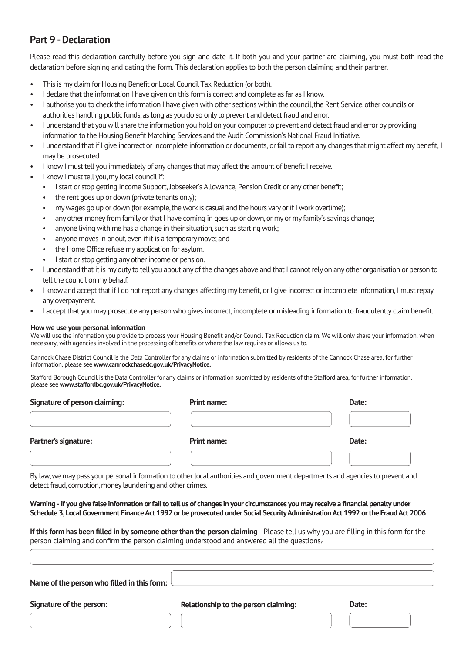## **Part 9 -Declaration**

Please read this declaration carefully before you sign and date it. If both you and your partner are claiming, you must both read the declaration before signing and dating the form. This declaration applies to both the person claiming and their partner.

- This is my claim for Housing Benefit or Local Council Tax Reduction (or both).
- I declare that the information I have given on this form is correct and complete as far as I know.
- I authorise you to check the information I have given with other sections within the council, the Rent Service, other councils or authorities handling public funds, as long as you do so only to prevent and detect fraud and error.
- I understand that you will share the information you hold on your computer to prevent and detect fraud and error by providing information to the Housing Benefit Matching Services and the Audit Commission's National Fraud Initiative.
- I understand that if I give incorrect or incomplete information or documents, or fail to report any changes that might affect my benefit, I may be prosecuted.
- I know I must tell you immediately of any changes that may affect the amount of benefit I receive.
- I know I must tell you, my local council if:
	- I start or stop getting Income Support, Jobseeker's Allowance, Pension Credit or any other benefit;
	- the rent goes up or down (private tenants only):
	- my wages go up or down (for example, the work is casual and the hours vary or if I work overtime);
	- any other money from family or that I have coming in goes up or down, or my or my family's savings change;
	- anyone living with me has a change in their situation, such as starting work;
	- anyone moves in or out, even if it is a temporary move; and
	- the Home Office refuse my application for asylum.
	- I start or stop getting any other income or pension.
- I understand that it is my duty to tell you about any of the changes above and that I cannot rely on any other organisation or person to tell the council on my behalf.
- I know and accept that if I do not report any changes affecting my benefit, or I give incorrect or incomplete information, I must repay any overpayment.
- I accept that you may prosecute any person who gives incorrect, incomplete or misleading information to fraudulently claim benefit.

#### **How we use your personal information**

We will use the information you provide to process your Housing Benefit and/or Council Tax Reduction claim. We will only share your information, when necessary, with agencies involved in the processing of benefits or where the law requires or allows us to.

Cannock Chase District Council is the Data Controller for any claims or information submitted by residents of the Cannock Chase area, for further information, please see **[www.cannockchasedc.gov.uk/PrivacyNotice.](www.cannockchasedc.gov.uk/PrivacyNotice)**

Stafford Borough Council is the Data Controller for any claims or information submitted by residents of the Stafford area, for further information, please see **[www.staffordbc.gov.uk/PrivacyNotice.](www.staffordbc.gov.uk/PrivacyNotice)**

# **Signature of person claiming: Print name: Date:**  Partner's signature: **Date: Print name:** Print name: **Date: Date: Date: Date:**

By law, we maypass your personal information to other local authorities and government departments and agencies to prevent and detect fraud, corruption, money laundering and other crimes.

**Warning -if you give false information or fail to tell us of changes in your circumstances you may receive a financial penalty under Schedule 3, Local Government Finance Act 1992 or be prosecuted under Social SecurityAdministration Act 1992 or the Fraud Act 2006** 

**If this form has been filled in by someone other than the person claiming** - Please tell us why you are filling in this form for the person claiming and confirm the person claiming understood and answered all the questions.-

| Name of the person who filled in this form: |
|---------------------------------------------|
|                                             |

Signature of the person: **Relationship to the person claiming:** Date: Date: